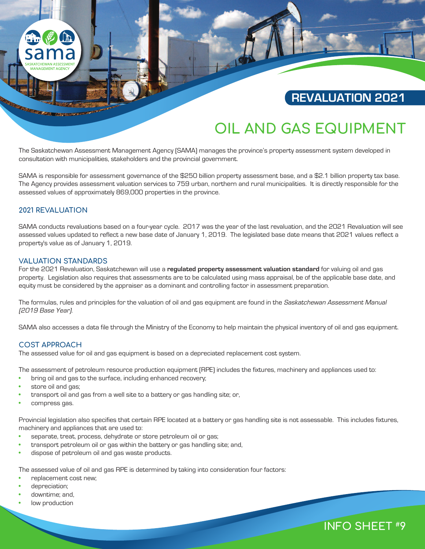

# **REVALUATION 2021**

**INFO SHEET #9**

# **OIL AND GAS EQUIPMENT**

The Saskatchewan Assessment Management Agency (SAMA) manages the province's property assessment system developed in consultation with municipalities, stakeholders and the provincial government.

SAMA is responsible for assessment governance of the \$250 billion property assessment base, and a \$2.1 billion property tax base. The Agency provides assessment valuation services to 759 urban, northern and rural municipalities. It is directly responsible for the assessed values of approximately 869,000 properties in the province.

# **2021 REVALUATION**

SAMA conducts revaluations based on a four-year cycle. 2017 was the year of the last revaluation, and the 2021 Revaluation will see assessed values updated to reflect a new base date of January 1, 2019. The legislated base date means that 2021 values reflect a property's value as of January 1, 2019.

### **VALUATION STANDARDS**

For the 2021 Revaluation, Saskatchewan will use a **regulated property assessment valuation standard** for valuing oil and gas property. Legislation also requires that assessments are to be calculated using mass appraisal, be of the applicable base date, and equity must be considered by the appraiser as a dominant and controlling factor in assessment preparation.

The formulas, rules and principles for the valuation of oil and gas equipment are found in the Saskatchewan Assessment Manual (2019 Base Year).

SAMA also accesses a data file through the Ministry of the Economy to help maintain the physical inventory of oil and gas equipment.

# **COST APPROACH**

The assessed value for oil and gas equipment is based on a depreciated replacement cost system.

The assessment of petroleum resource production equipment (RPE) includes the fixtures, machinery and appliances used to:

- bring oil and gas to the surface, including enhanced recovery;
- store oil and gas;
- transport oil and gas from a well site to a battery or gas handling site; or,
- compress gas.

Provincial legislation also specifies that certain RPE located at a battery or gas handling site is not assessable. This includes fixtures, machinery and appliances that are used to:

- separate, treat, process, dehydrate or store petroleum oil or gas;
- transport petroleum oil or gas within the battery or gas handling site; and,
- dispose of petroleum oil and gas waste products.

The assessed value of oil and gas RPE is determined by taking into consideration four factors:

- replacement cost new;
- depreciation;
- downtime; and,
- low production